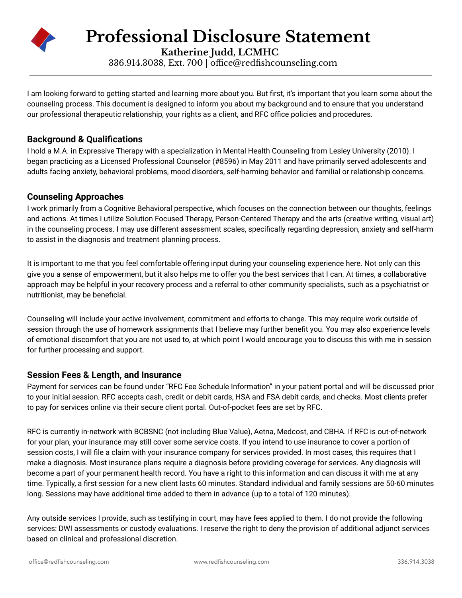

**Professional Disclosure Statement**

**Katherine Judd, LCMHC** 336.914.3038, Ext. 700 | [office@redfishcounseling.com](mailto:office@salemcounselingctr.com)

I am looking forward to getting started and learning more about you. But first, it's important that you learn some about the counseling process. This document is designed to inform you about my background and to ensure that you understand our professional therapeutic relationship, your rights as a client, and RFC office policies and procedures.

### **Background & Qualifications**

I hold a M.A. in Expressive Therapy with a specialization in Mental Health Counseling from Lesley University (2010). I began practicing as a Licensed Professional Counselor (#8596) in May 2011 and have primarily served adolescents and adults facing anxiety, behavioral problems, mood disorders, self-harming behavior and familial or relationship concerns.

#### **Counseling Approaches**

I work primarily from a Cognitive Behavioral perspective, which focuses on the connection between our thoughts, feelings and actions. At times I utilize Solution Focused Therapy, Person-Centered Therapy and the arts (creative writing, visual art) in the counseling process. I may use different assessment scales, specifically regarding depression, anxiety and self-harm to assist in the diagnosis and treatment planning process.

It is important to me that you feel comfortable offering input during your counseling experience here. Not only can this give you a sense of empowerment, but it also helps me to offer you the best services that I can. At times, a collaborative approach may be helpful in your recovery process and a referral to other community specialists, such as a psychiatrist or nutritionist, may be beneficial.

Counseling will include your active involvement, commitment and efforts to change. This may require work outside of session through the use of homework assignments that I believe may further benefit you. You may also experience levels of emotional discomfort that you are not used to, at which point I would encourage you to discuss this with me in session for further processing and support.

## **Session Fees & Length, and Insurance**

Payment for services can be found under "RFC Fee Schedule Information" in your patient portal and will be discussed prior to your initial session. RFC accepts cash, credit or debit cards, HSA and FSA debit cards, and checks. Most clients prefer to pay for services online via their secure client portal. Out-of-pocket fees are set by RFC.

RFC is currently in-network with BCBSNC (not including Blue Value), Aetna, Medcost, and CBHA. If RFC is out-of-network for your plan, your insurance may still cover some service costs. If you intend to use insurance to cover a portion of session costs, I will file a claim with your insurance company for services provided. In most cases, this requires that I make a diagnosis. Most insurance plans require a diagnosis before providing coverage for services. Any diagnosis will become a part of your permanent health record. You have a right to this information and can discuss it with me at any time. Typically, a first session for a new client lasts 60 minutes. Standard individual and family sessions are 50-60 minutes long. Sessions may have additional time added to them in advance (up to a total of 120 minutes).

Any outside services I provide, such as testifying in court, may have fees applied to them. I do not provide the following services: DWI assessments or custody evaluations. I reserve the right to deny the provision of additional adjunct services based on clinical and professional discretion.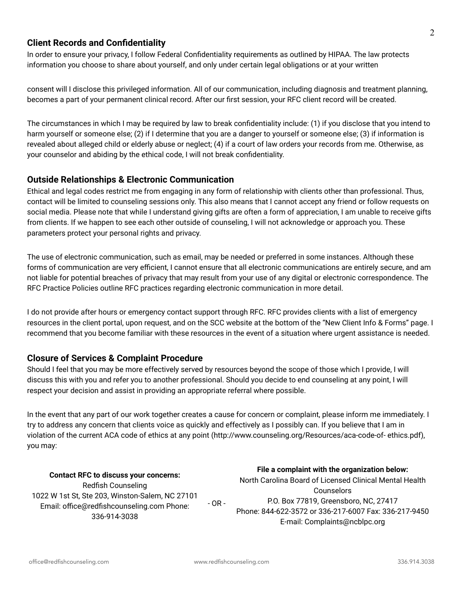#### **Client Records and Confidentiality**

In order to ensure your privacy, I follow Federal Confidentiality requirements as outlined by HIPAA. The law protects information you choose to share about yourself, and only under certain legal obligations or at your written

consent will I disclose this privileged information. All of our communication, including diagnosis and treatment planning, becomes a part of your permanent clinical record. After our first session, your RFC client record will be created.

The circumstances in which I may be required by law to break confidentiality include: (1) if you disclose that you intend to harm yourself or someone else; (2) if I determine that you are a danger to yourself or someone else; (3) if information is revealed about alleged child or elderly abuse or neglect; (4) if a court of law orders your records from me. Otherwise, as your counselor and abiding by the ethical code, I will not break confidentiality.

### **Outside Relationships & Electronic Communication**

Ethical and legal codes restrict me from engaging in any form of relationship with clients other than professional. Thus, contact will be limited to counseling sessions only. This also means that I cannot accept any friend or follow requests on social media. Please note that while I understand giving gifts are often a form of appreciation, I am unable to receive gifts from clients. If we happen to see each other outside of counseling, I will not acknowledge or approach you. These parameters protect your personal rights and privacy.

The use of electronic communication, such as email, may be needed or preferred in some instances. Although these forms of communication are very efficient, I cannot ensure that all electronic communications are entirely secure, and am not liable for potential breaches of privacy that may result from your use of any digital or electronic correspondence. The RFC Practice Policies outline RFC practices regarding electronic communication in more detail.

I do not provide after hours or emergency contact support through RFC. RFC provides clients with a list of emergency resources in the client portal, upon request, and on the SCC website at the bottom of the "New Client Info & Forms" page. I recommend that you become familiar with these resources in the event of a situation where urgent assistance is needed.

#### **Closure of Services & Complaint Procedure**

Should I feel that you may be more effectively served by resources beyond the scope of those which I provide, I will discuss this with you and refer you to another professional. Should you decide to end counseling at any point, I will respect your decision and assist in providing an appropriate referral where possible.

In the event that any part of our work together creates a cause for concern or complaint, please inform me immediately. I try to address any concern that clients voice as quickly and effectively as I possibly can. If you believe that I am in violation of the current ACA code of ethics at any point (http://www.counseling.org/Resources/aca-code-of- ethics.pdf), you may:

#### **Contact RFC to discuss your concerns:**

Redfish Counseling 1022 W 1st St, Ste 203, Winston-Salem, NC 27101 Email: office@redfishcounseling.com Phone: 336-914-3038 - OR -

#### **File a complaint with the organization below:**

North Carolina Board of Licensed Clinical Mental Health Counselors P.O. Box 77819, Greensboro, NC, 27417 Phone: 844-622-3572 or 336-217-6007 Fax: 336-217-9450 E-mail: Complaints@ncblpc.org